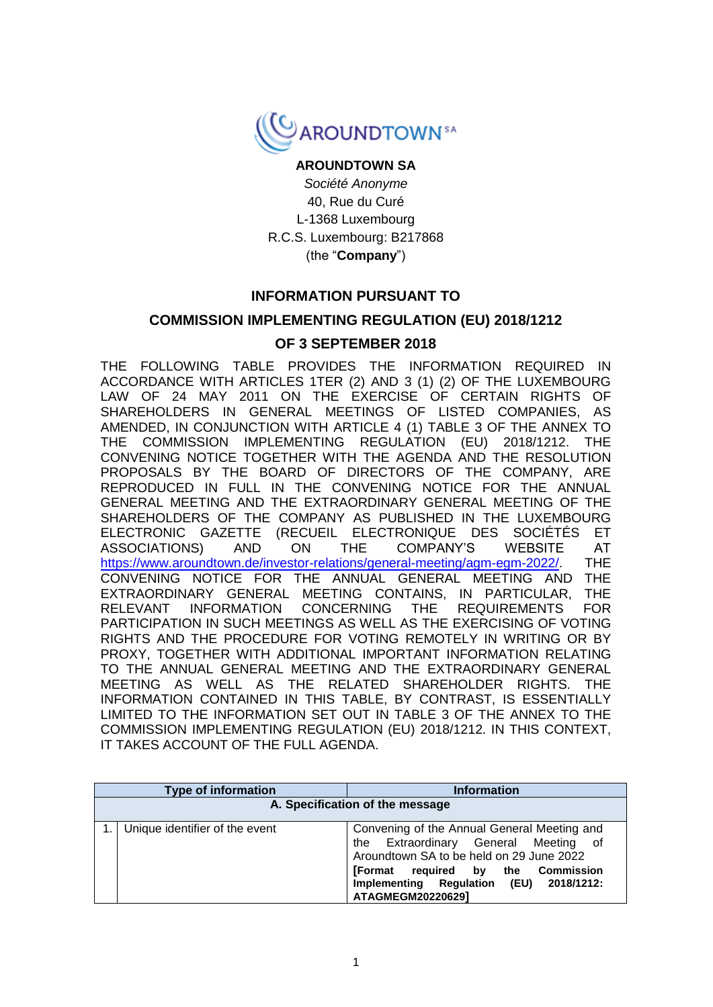

# **AROUNDTOWN SA**

*Société Anonyme* 40, Rue du Curé L-1368 Luxembourg R.C.S. Luxembourg: B217868 (the "**Company**")

## **INFORMATION PURSUANT TO**

## **COMMISSION IMPLEMENTING REGULATION (EU) 2018/1212**

## **OF 3 SEPTEMBER 2018**

THE FOLLOWING TABLE PROVIDES THE INFORMATION REQUIRED IN ACCORDANCE WITH ARTICLES 1TER (2) AND 3 (1) (2) OF THE LUXEMBOURG LAW OF 24 MAY 2011 ON THE EXERCISE OF CERTAIN RIGHTS OF SHAREHOLDERS IN GENERAL MEETINGS OF LISTED COMPANIES, AS AMENDED, IN CONJUNCTION WITH ARTICLE 4 (1) TABLE 3 OF THE ANNEX TO THE COMMISSION IMPLEMENTING REGULATION (EU) 2018/1212. THE CONVENING NOTICE TOGETHER WITH THE AGENDA AND THE RESOLUTION PROPOSALS BY THE BOARD OF DIRECTORS OF THE COMPANY, ARE REPRODUCED IN FULL IN THE CONVENING NOTICE FOR THE ANNUAL GENERAL MEETING AND THE EXTRAORDINARY GENERAL MEETING OF THE SHAREHOLDERS OF THE COMPANY AS PUBLISHED IN THE LUXEMBOURG ELECTRONIC GAZETTE (RECUEIL ELECTRONIQUE DES SOCIÉTÉS ET ASSOCIATIONS) AND ON THE COMPANY'S WEBSITE AT [https://www.aroundtown.de/investor-relations/general-meeting/agm-egm-2022/.](https://urldefense.com/v3/__https:/www.aroundtown.de/investor-relations/general-meeting/agm-egm-2022/__;!!DLcrptgTGjcE!b1xE5ZUzQ4rdHHUF3qJDrHjRwmL-QK271mNq3mkCrwhMT_kx60ZPExY41Ghir2P_BBJCdNsQVElahhPpZRWWjUXNaDiUX7X8jlEl6Q$) THE CONVENING NOTICE FOR THE ANNUAL GENERAL MEETING AND THE EXTRAORDINARY GENERAL MEETING CONTAINS, IN PARTICULAR, THE RELEVANT INFORMATION CONCERNING THE REQUIREMENTS FOR PARTICIPATION IN SUCH MEETINGS AS WELL AS THE EXERCISING OF VOTING RIGHTS AND THE PROCEDURE FOR VOTING REMOTELY IN WRITING OR BY PROXY, TOGETHER WITH ADDITIONAL IMPORTANT INFORMATION RELATING TO THE ANNUAL GENERAL MEETING AND THE EXTRAORDINARY GENERAL MEETING AS WELL AS THE RELATED SHAREHOLDER RIGHTS. THE INFORMATION CONTAINED IN THIS TABLE, BY CONTRAST, IS ESSENTIALLY LIMITED TO THE INFORMATION SET OUT IN TABLE 3 OF THE ANNEX TO THE COMMISSION IMPLEMENTING REGULATION (EU) 2018/1212. IN THIS CONTEXT, IT TAKES ACCOUNT OF THE FULL AGENDA.

|                                 | <b>Type of information</b>     | <b>Information</b>                                                                                                                                                                                                                              |
|---------------------------------|--------------------------------|-------------------------------------------------------------------------------------------------------------------------------------------------------------------------------------------------------------------------------------------------|
| A. Specification of the message |                                |                                                                                                                                                                                                                                                 |
|                                 | Unique identifier of the event | Convening of the Annual General Meeting and<br>the Extraordinary General Meeting of<br>Aroundtown SA to be held on 29 June 2022<br>required by the Commission<br><b>[Format</b><br>Implementing Regulation (EU) 2018/1212:<br>ATAGMEGM20220629] |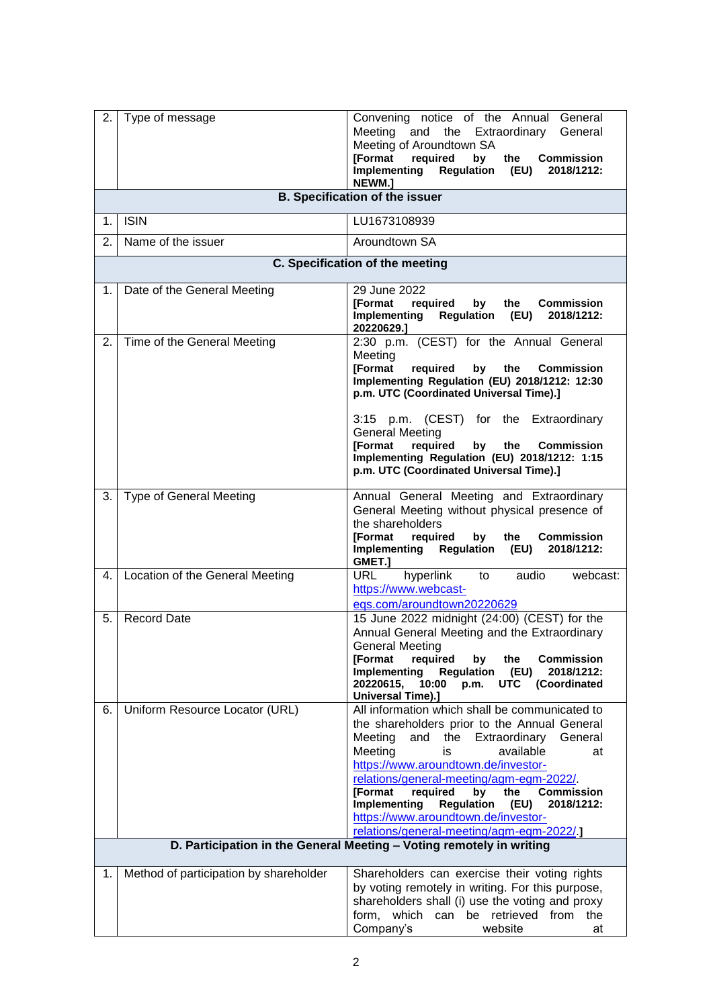| 2. | Type of message                        | Convening notice of the Annual General<br>Meeting and the Extraordinary General<br>Meeting of Aroundtown SA<br><b>[Format</b><br>required<br>by<br>the<br><b>Commission</b><br><b>Regulation (EU)</b><br>Implementing<br>2018/1212:<br>NEWM.]                                                                                                                                                                                                                                    |
|----|----------------------------------------|----------------------------------------------------------------------------------------------------------------------------------------------------------------------------------------------------------------------------------------------------------------------------------------------------------------------------------------------------------------------------------------------------------------------------------------------------------------------------------|
|    |                                        | <b>B. Specification of the issuer</b>                                                                                                                                                                                                                                                                                                                                                                                                                                            |
| 1. | <b>ISIN</b>                            | LU1673108939                                                                                                                                                                                                                                                                                                                                                                                                                                                                     |
| 2. | Name of the issuer                     | Aroundtown SA                                                                                                                                                                                                                                                                                                                                                                                                                                                                    |
|    |                                        | C. Specification of the meeting                                                                                                                                                                                                                                                                                                                                                                                                                                                  |
| 1. | Date of the General Meeting            | 29 June 2022<br><b>IFormat</b><br>required<br>by<br>the<br><b>Commission</b><br>Implementing<br><b>Regulation</b><br>(EU)<br>2018/1212:<br>20220629.]                                                                                                                                                                                                                                                                                                                            |
| 2. | Time of the General Meeting            | 2:30 p.m. (CEST) for the Annual General<br>Meeting<br>required<br><b>[Format</b><br>by<br>the<br><b>Commission</b><br>Implementing Regulation (EU) 2018/1212: 12:30<br>p.m. UTC (Coordinated Universal Time).]<br>p.m. (CEST) for the Extraordinary<br>3:15<br><b>General Meeting</b><br>[Format<br>required<br><b>Commission</b><br>by<br>the<br>Implementing Regulation (EU) 2018/1212: 1:15<br>p.m. UTC (Coordinated Universal Time).]                                        |
| 3. | <b>Type of General Meeting</b>         | Annual General Meeting and Extraordinary<br>General Meeting without physical presence of<br>the shareholders<br>[Format<br>required<br>by<br>the<br><b>Commission</b><br>Implementing Regulation (EU)<br>2018/1212:<br>GMET.1                                                                                                                                                                                                                                                    |
| 4. | Location of the General Meeting        | <b>URL</b><br>hyperlink<br>audio<br>webcast:<br>to<br>https://www.webcast-<br>egs.com/aroundtown20220629                                                                                                                                                                                                                                                                                                                                                                         |
| 5. | <b>Record Date</b>                     | 15 June 2022 midnight (24:00) (CEST) for the<br>Annual General Meeting and the Extraordinary<br><b>General Meeting</b><br><b>[Format</b><br>required<br>the<br><b>Commission</b><br>by<br>Implementing<br><b>Regulation</b><br>(EU)<br>2018/1212:<br>20220615,<br>10:00<br><b>UTC</b><br>(Coordinated<br>p.m.<br><b>Universal Time).]</b>                                                                                                                                        |
| 6. | Uniform Resource Locator (URL)         | All information which shall be communicated to<br>the shareholders prior to the Annual General<br>the Extraordinary General<br>Meeting<br>and<br>Meeting<br>is<br>available<br>at<br>https://www.aroundtown.de/investor-<br>relations/general-meeting/agm-egm-2022/<br>required<br><b>[Format</b><br>bv<br>the<br><b>Commission</b><br><b>Regulation</b><br>Implementing<br>(EU)<br>2018/1212:<br>https://www.aroundtown.de/investor-<br>relations/general-meeting/agm-egm-2022/ |
|    |                                        | D. Participation in the General Meeting - Voting remotely in writing                                                                                                                                                                                                                                                                                                                                                                                                             |
| 1. | Method of participation by shareholder | Shareholders can exercise their voting rights<br>by voting remotely in writing. For this purpose,<br>shareholders shall (i) use the voting and proxy<br>form, which can be retrieved from<br>the<br>Company's<br>website<br>at                                                                                                                                                                                                                                                   |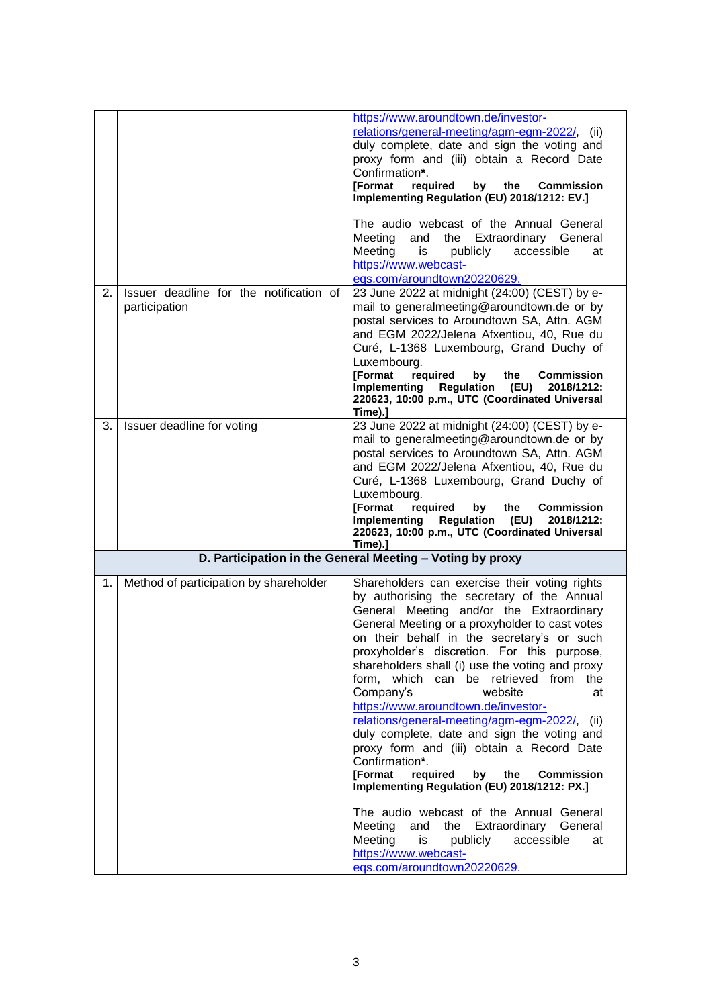|    |                                                          | https://www.aroundtown.de/investor-<br>relations/general-meeting/agm-egm-2022/, (ii)<br>duly complete, date and sign the voting and<br>proxy form and (iii) obtain a Record Date<br>Confirmation*.<br>required<br><b>IFormat</b><br>by<br>the<br><b>Commission</b><br>Implementing Regulation (EU) 2018/1212: EV.]<br>The audio webcast of the Annual General<br>Meeting<br>and the Extraordinary General<br>Meeting<br>publicly<br>accessible<br>at<br>is<br>https://www.webcast-<br>eqs.com/aroundtown20220629.                                                                                                                                                                                                                                                                                                                                                                                                                           |
|----|----------------------------------------------------------|---------------------------------------------------------------------------------------------------------------------------------------------------------------------------------------------------------------------------------------------------------------------------------------------------------------------------------------------------------------------------------------------------------------------------------------------------------------------------------------------------------------------------------------------------------------------------------------------------------------------------------------------------------------------------------------------------------------------------------------------------------------------------------------------------------------------------------------------------------------------------------------------------------------------------------------------|
| 2. | Issuer deadline for the notification of<br>participation | 23 June 2022 at midnight (24:00) (CEST) by e-<br>mail to generalmeeting@aroundtown.de or by<br>postal services to Aroundtown SA, Attn. AGM<br>and EGM 2022/Jelena Afxentiou, 40, Rue du<br>Curé, L-1368 Luxembourg, Grand Duchy of<br>Luxembourg.<br><b>[Format</b><br>required<br>by<br>Commission<br>the<br>Implementing<br><b>Regulation</b><br>(EU)<br>2018/1212:<br>220623, 10:00 p.m., UTC (Coordinated Universal<br>Time).]                                                                                                                                                                                                                                                                                                                                                                                                                                                                                                          |
| 3. | Issuer deadline for voting                               | 23 June 2022 at midnight (24:00) (CEST) by e-<br>mail to generalmeeting@aroundtown.de or by<br>postal services to Aroundtown SA, Attn. AGM<br>and EGM 2022/Jelena Afxentiou, 40, Rue du<br>Curé, L-1368 Luxembourg, Grand Duchy of<br>Luxembourg.<br><b>[Format</b><br>required<br>by<br>the<br><b>Commission</b><br>Implementing<br>Regulation<br>(EU)<br>2018/1212:<br>220623, 10:00 p.m., UTC (Coordinated Universal<br>Time).]                                                                                                                                                                                                                                                                                                                                                                                                                                                                                                          |
|    |                                                          | D. Participation in the General Meeting - Voting by proxy                                                                                                                                                                                                                                                                                                                                                                                                                                                                                                                                                                                                                                                                                                                                                                                                                                                                                   |
| 1. | Method of participation by shareholder                   | Shareholders can exercise their voting rights<br>by authorising the secretary of the Annual<br>General Meeting and/or the Extraordinary<br>General Meeting or a proxyholder to cast votes<br>on their behalf in the secretary's or such<br>proxyholder's discretion. For this purpose,<br>shareholders shall (i) use the voting and proxy<br>form, which can be retrieved from the<br>Company's<br>website<br>at<br>https://www.aroundtown.de/investor-<br>relations/general-meeting/agm-egm-2022/,<br>(ii)<br>duly complete, date and sign the voting and<br>proxy form and (iii) obtain a Record Date<br>Confirmation*.<br><b>[Format</b><br>required<br>by<br>the<br><b>Commission</b><br>Implementing Regulation (EU) 2018/1212: PX.]<br>The audio webcast of the Annual General<br>Meeting<br>and<br>the Extraordinary General<br>Meeting<br>accessible<br>publicly<br>is<br>at<br>https://www.webcast-<br>eqs.com/aroundtown20220629. |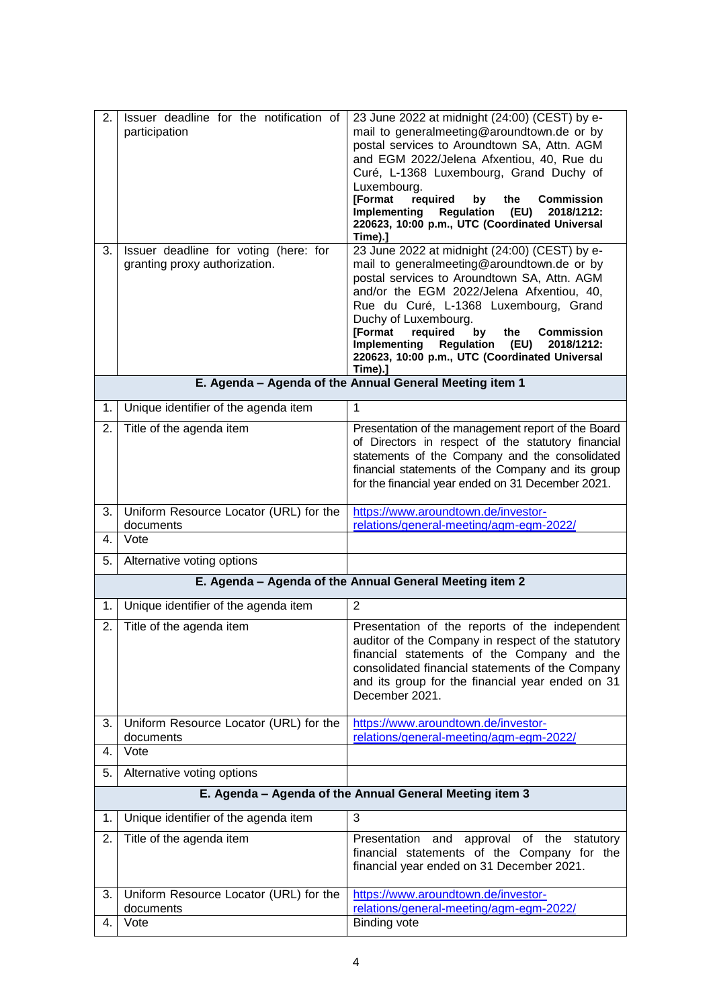| 2.<br>3. | Issuer deadline for the notification of<br>participation<br>Issuer deadline for voting (here: for<br>granting proxy authorization. | 23 June 2022 at midnight (24:00) (CEST) by e-<br>mail to generalmeeting@aroundtown.de or by<br>postal services to Aroundtown SA, Attn. AGM<br>and EGM 2022/Jelena Afxentiou, 40, Rue du<br>Curé, L-1368 Luxembourg, Grand Duchy of<br>Luxembourg.<br>[Format<br>required<br>by<br>the<br><b>Commission</b><br><b>Regulation</b><br>2018/1212:<br>Implementing<br>(EU)<br>220623, 10:00 p.m., UTC (Coordinated Universal<br>Time).]<br>23 June 2022 at midnight (24:00) (CEST) by e-<br>mail to generalmeeting@aroundtown.de or by<br>postal services to Aroundtown SA, Attn. AGM<br>and/or the EGM 2022/Jelena Afxentiou, 40,<br>Rue du Curé, L-1368 Luxembourg, Grand<br>Duchy of Luxembourg.<br><b>[Format</b><br>required<br>by<br>the<br><b>Commission</b><br>Implementing<br><b>Regulation</b><br>(EU)<br>2018/1212:<br>220623, 10:00 p.m., UTC (Coordinated Universal<br>Time).] |
|----------|------------------------------------------------------------------------------------------------------------------------------------|----------------------------------------------------------------------------------------------------------------------------------------------------------------------------------------------------------------------------------------------------------------------------------------------------------------------------------------------------------------------------------------------------------------------------------------------------------------------------------------------------------------------------------------------------------------------------------------------------------------------------------------------------------------------------------------------------------------------------------------------------------------------------------------------------------------------------------------------------------------------------------------|
|          |                                                                                                                                    | E. Agenda - Agenda of the Annual General Meeting item 1                                                                                                                                                                                                                                                                                                                                                                                                                                                                                                                                                                                                                                                                                                                                                                                                                                |
| 1.       | Unique identifier of the agenda item                                                                                               | 1                                                                                                                                                                                                                                                                                                                                                                                                                                                                                                                                                                                                                                                                                                                                                                                                                                                                                      |
| 2.       | Title of the agenda item                                                                                                           | Presentation of the management report of the Board<br>of Directors in respect of the statutory financial<br>statements of the Company and the consolidated<br>financial statements of the Company and its group<br>for the financial year ended on 31 December 2021.                                                                                                                                                                                                                                                                                                                                                                                                                                                                                                                                                                                                                   |
| 3.       | Uniform Resource Locator (URL) for the<br>documents                                                                                | https://www.aroundtown.de/investor-<br>relations/general-meeting/agm-egm-2022/                                                                                                                                                                                                                                                                                                                                                                                                                                                                                                                                                                                                                                                                                                                                                                                                         |
| 4.       | Vote                                                                                                                               |                                                                                                                                                                                                                                                                                                                                                                                                                                                                                                                                                                                                                                                                                                                                                                                                                                                                                        |
| 5.       | Alternative voting options                                                                                                         |                                                                                                                                                                                                                                                                                                                                                                                                                                                                                                                                                                                                                                                                                                                                                                                                                                                                                        |
|          |                                                                                                                                    | E. Agenda - Agenda of the Annual General Meeting item 2                                                                                                                                                                                                                                                                                                                                                                                                                                                                                                                                                                                                                                                                                                                                                                                                                                |
| 1.       | Unique identifier of the agenda item                                                                                               | 2                                                                                                                                                                                                                                                                                                                                                                                                                                                                                                                                                                                                                                                                                                                                                                                                                                                                                      |
| 2.       | Title of the agenda item                                                                                                           | Presentation of the reports of the independent<br>auditor of the Company in respect of the statutory<br>financial statements of the Company and the<br>consolidated financial statements of the Company<br>and its group for the financial year ended on 31<br>December 2021.                                                                                                                                                                                                                                                                                                                                                                                                                                                                                                                                                                                                          |
| 3.       | Uniform Resource Locator (URL) for the<br>documents                                                                                | https://www.aroundtown.de/investor-<br>relations/general-meeting/agm-egm-2022/                                                                                                                                                                                                                                                                                                                                                                                                                                                                                                                                                                                                                                                                                                                                                                                                         |
| 4.       | Vote                                                                                                                               |                                                                                                                                                                                                                                                                                                                                                                                                                                                                                                                                                                                                                                                                                                                                                                                                                                                                                        |
| 5.       | Alternative voting options                                                                                                         |                                                                                                                                                                                                                                                                                                                                                                                                                                                                                                                                                                                                                                                                                                                                                                                                                                                                                        |
|          |                                                                                                                                    | E. Agenda - Agenda of the Annual General Meeting item 3                                                                                                                                                                                                                                                                                                                                                                                                                                                                                                                                                                                                                                                                                                                                                                                                                                |
| 1.       | Unique identifier of the agenda item                                                                                               | 3                                                                                                                                                                                                                                                                                                                                                                                                                                                                                                                                                                                                                                                                                                                                                                                                                                                                                      |
| 2.       | Title of the agenda item                                                                                                           | Presentation<br>and approval of the statutory<br>financial statements of the Company for the<br>financial year ended on 31 December 2021.                                                                                                                                                                                                                                                                                                                                                                                                                                                                                                                                                                                                                                                                                                                                              |
| 3.       | Uniform Resource Locator (URL) for the<br>documents                                                                                | https://www.aroundtown.de/investor-<br>relations/general-meeting/agm-egm-2022/                                                                                                                                                                                                                                                                                                                                                                                                                                                                                                                                                                                                                                                                                                                                                                                                         |
| 4.       | Vote                                                                                                                               | <b>Binding vote</b>                                                                                                                                                                                                                                                                                                                                                                                                                                                                                                                                                                                                                                                                                                                                                                                                                                                                    |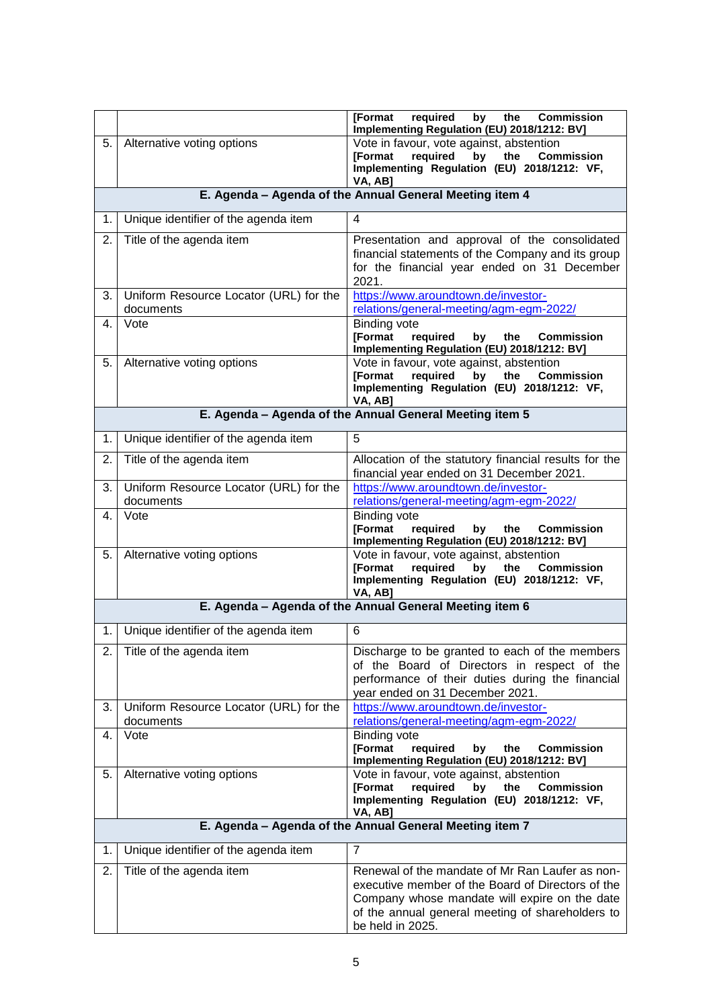|    |                                                     | <b>[Format</b><br>required<br>by<br>the<br><b>Commission</b><br>Implementing Regulation (EU) 2018/1212: BV]                                                                                                                   |
|----|-----------------------------------------------------|-------------------------------------------------------------------------------------------------------------------------------------------------------------------------------------------------------------------------------|
| 5. | Alternative voting options                          | Vote in favour, vote against, abstention<br>[Format<br>required<br>by<br>the<br><b>Commission</b><br>Implementing Regulation (EU) 2018/1212: VF,<br>VA, AB]                                                                   |
|    |                                                     | E. Agenda - Agenda of the Annual General Meeting item 4                                                                                                                                                                       |
| 1. | Unique identifier of the agenda item                | 4                                                                                                                                                                                                                             |
| 2. | Title of the agenda item                            | Presentation and approval of the consolidated<br>financial statements of the Company and its group<br>for the financial year ended on 31 December<br>2021.                                                                    |
| 3. | Uniform Resource Locator (URL) for the<br>documents | https://www.aroundtown.de/investor-<br>relations/general-meeting/agm-egm-2022/                                                                                                                                                |
| 4. | Vote                                                | <b>Binding vote</b><br><b>[Format</b><br>required<br><b>Commission</b><br>by<br>the<br>Implementing Regulation (EU) 2018/1212: BV]                                                                                            |
| 5. | Alternative voting options                          | Vote in favour, vote against, abstention<br>required<br><b>IFormat</b><br>by<br>the<br><b>Commission</b><br>Implementing Regulation (EU) 2018/1212: VF,<br>VA, AB]                                                            |
|    |                                                     | E. Agenda - Agenda of the Annual General Meeting item 5                                                                                                                                                                       |
| 1. | Unique identifier of the agenda item                | 5                                                                                                                                                                                                                             |
| 2. | Title of the agenda item                            | Allocation of the statutory financial results for the<br>financial year ended on 31 December 2021.                                                                                                                            |
| 3. | Uniform Resource Locator (URL) for the<br>documents | https://www.aroundtown.de/investor-<br>relations/general-meeting/agm-egm-2022/                                                                                                                                                |
| 4. | Vote                                                | <b>Binding vote</b><br><b>[Format</b><br>required<br>by<br>the<br><b>Commission</b><br>Implementing Regulation (EU) 2018/1212: BV]                                                                                            |
| 5. | Alternative voting options                          | Vote in favour, vote against, abstention<br><b>[Format</b><br>required<br>by<br>the<br><b>Commission</b><br>Implementing Regulation (EU) 2018/1212: VF,<br>VA, AB]                                                            |
|    |                                                     | E. Agenda - Agenda of the Annual General Meeting item 6                                                                                                                                                                       |
| 1. | Unique identifier of the agenda item                | 6                                                                                                                                                                                                                             |
| 2. | Title of the agenda item                            | Discharge to be granted to each of the members<br>of the Board of Directors in respect of the<br>performance of their duties during the financial<br>year ended on 31 December 2021.                                          |
| 3. | Uniform Resource Locator (URL) for the<br>documents | https://www.aroundtown.de/investor-<br>relations/general-meeting/agm-egm-2022/                                                                                                                                                |
| 4. | Vote                                                | <b>Binding vote</b><br><b>[Format</b><br>required<br><b>Commission</b><br>by<br>the<br>Implementing Regulation (EU) 2018/1212: BV]                                                                                            |
| 5. | Alternative voting options                          | Vote in favour, vote against, abstention<br>required<br><b>[Format</b><br>by<br><b>Commission</b><br>the<br>Implementing Regulation (EU) 2018/1212: VF,<br>VA, AB]                                                            |
|    |                                                     | E. Agenda - Agenda of the Annual General Meeting item 7                                                                                                                                                                       |
| 1. | Unique identifier of the agenda item                | $\overline{7}$                                                                                                                                                                                                                |
| 2. | Title of the agenda item                            | Renewal of the mandate of Mr Ran Laufer as non-<br>executive member of the Board of Directors of the<br>Company whose mandate will expire on the date<br>of the annual general meeting of shareholders to<br>be held in 2025. |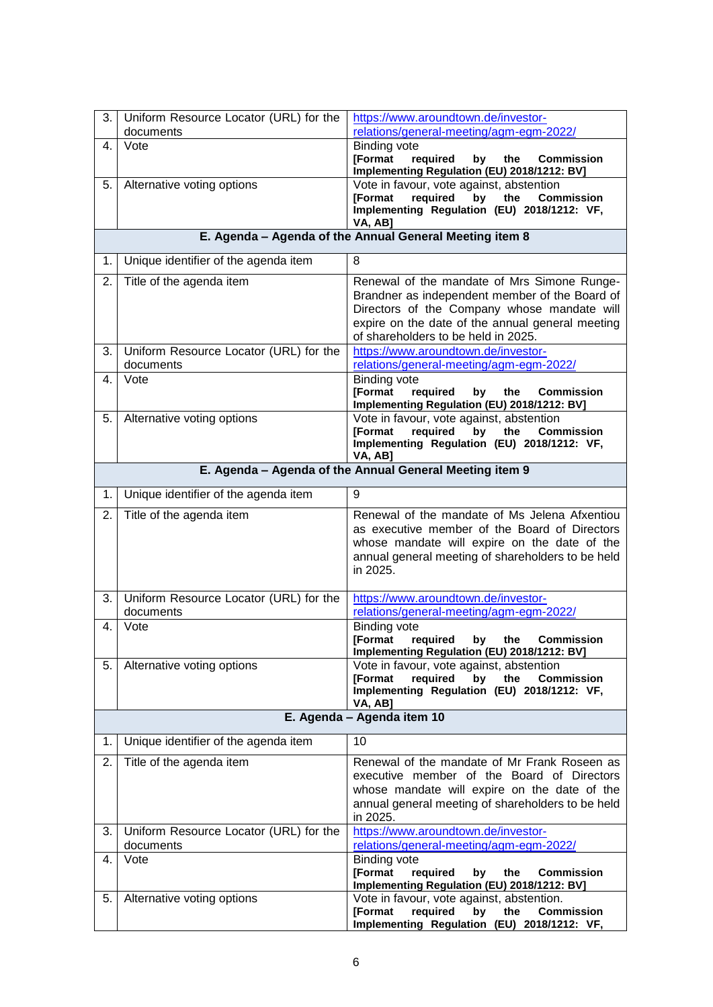| 3.                                                      | Uniform Resource Locator (URL) for the<br>documents | https://www.aroundtown.de/investor-<br>relations/general-meeting/agm-egm-2022/                              |
|---------------------------------------------------------|-----------------------------------------------------|-------------------------------------------------------------------------------------------------------------|
| 4.                                                      | Vote                                                | <b>Binding vote</b>                                                                                         |
|                                                         |                                                     | <b>[Format</b><br>required<br>the<br>by<br><b>Commission</b>                                                |
|                                                         |                                                     | Implementing Regulation (EU) 2018/1212: BV]                                                                 |
| 5.                                                      | Alternative voting options                          | Vote in favour, vote against, abstention                                                                    |
|                                                         |                                                     | <b>Commission</b><br>[Format<br>required<br>by<br>the<br>Implementing Regulation (EU) 2018/1212: VF,        |
|                                                         |                                                     | VA, AB]                                                                                                     |
|                                                         |                                                     | E. Agenda - Agenda of the Annual General Meeting item 8                                                     |
| 1.                                                      | Unique identifier of the agenda item                | 8                                                                                                           |
| 2.                                                      | Title of the agenda item                            | Renewal of the mandate of Mrs Simone Runge-                                                                 |
|                                                         |                                                     | Brandner as independent member of the Board of                                                              |
|                                                         |                                                     | Directors of the Company whose mandate will                                                                 |
|                                                         |                                                     | expire on the date of the annual general meeting<br>of shareholders to be held in 2025.                     |
| 3.                                                      | Uniform Resource Locator (URL) for the              | https://www.aroundtown.de/investor-                                                                         |
|                                                         | documents                                           | relations/general-meeting/agm-egm-2022/                                                                     |
| 4.                                                      | Vote                                                | <b>Binding vote</b>                                                                                         |
|                                                         |                                                     | <b>[Format</b><br>required<br>by<br>the<br><b>Commission</b><br>Implementing Regulation (EU) 2018/1212: BV] |
| 5.                                                      | Alternative voting options                          | Vote in favour, vote against, abstention                                                                    |
|                                                         |                                                     | <b>[Format</b><br>required<br>the<br><b>Commission</b><br>by                                                |
|                                                         |                                                     | Implementing Regulation (EU) 2018/1212: VF,<br>VA, AB]                                                      |
| E. Agenda - Agenda of the Annual General Meeting item 9 |                                                     |                                                                                                             |
| 1.                                                      | Unique identifier of the agenda item                | 9                                                                                                           |
| 2.                                                      | Title of the agenda item                            | Renewal of the mandate of Ms Jelena Afxentiou                                                               |
|                                                         |                                                     | as executive member of the Board of Directors                                                               |
|                                                         |                                                     | whose mandate will expire on the date of the                                                                |
|                                                         |                                                     | annual general meeting of shareholders to be held<br>in 2025.                                               |
|                                                         |                                                     |                                                                                                             |
| 3.                                                      | Uniform Resource Locator (URL) for the              | https://www.aroundtown.de/investor-                                                                         |
|                                                         | documents                                           | relations/general-meeting/agm-egm-2022/                                                                     |
| 4.                                                      | Vote                                                | <b>Binding vote</b><br>[Format<br>required<br><b>Commission</b><br>by<br>the                                |
|                                                         |                                                     | Implementing Regulation (EU) 2018/1212: BV]                                                                 |
| 5.                                                      | Alternative voting options                          | Vote in favour, vote against, abstention                                                                    |
|                                                         |                                                     | required<br><b>Commission</b><br>[Format<br>by<br>the                                                       |
|                                                         |                                                     | Implementing Regulation (EU) 2018/1212: VF,<br>VA, AB]                                                      |
|                                                         |                                                     | E. Agenda - Agenda item 10                                                                                  |
| 1.                                                      | Unique identifier of the agenda item                | 10                                                                                                          |
| 2.                                                      | Title of the agenda item                            | Renewal of the mandate of Mr Frank Roseen as                                                                |
|                                                         |                                                     | executive member of the Board of Directors                                                                  |
|                                                         |                                                     | whose mandate will expire on the date of the                                                                |
|                                                         |                                                     | annual general meeting of shareholders to be held<br>in 2025.                                               |
| 3.                                                      | Uniform Resource Locator (URL) for the              | https://www.aroundtown.de/investor-                                                                         |
|                                                         | documents                                           | relations/general-meeting/agm-egm-2022/                                                                     |
| 4.                                                      | Vote                                                | <b>Binding vote</b>                                                                                         |
|                                                         |                                                     | [Format<br>required<br>by<br><b>Commission</b><br>the<br>Implementing Regulation (EU) 2018/1212: BV]        |
| 5.                                                      | Alternative voting options                          | Vote in favour, vote against, abstention.                                                                   |
|                                                         |                                                     | [Format<br>required<br>by<br>the<br><b>Commission</b>                                                       |
|                                                         |                                                     | Implementing Regulation (EU) 2018/1212: VF,                                                                 |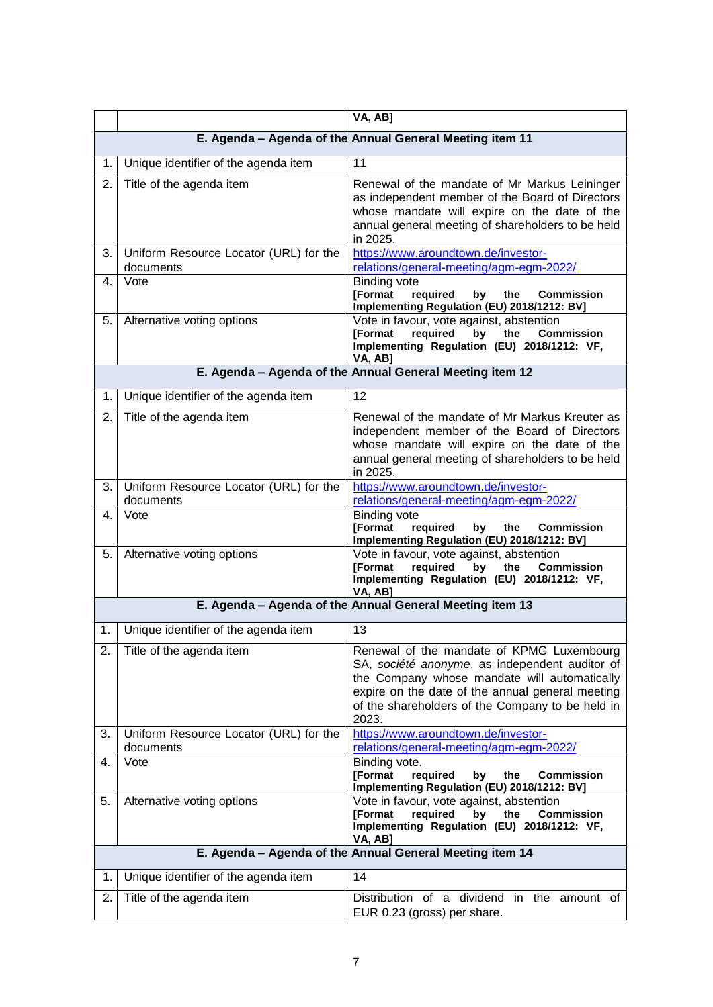|    |                                                     | VA, AB]                                                                                                                                                                                                                                                      |
|----|-----------------------------------------------------|--------------------------------------------------------------------------------------------------------------------------------------------------------------------------------------------------------------------------------------------------------------|
|    |                                                     | E. Agenda - Agenda of the Annual General Meeting item 11                                                                                                                                                                                                     |
| 1. | Unique identifier of the agenda item                | 11                                                                                                                                                                                                                                                           |
| 2. | Title of the agenda item                            | Renewal of the mandate of Mr Markus Leininger<br>as independent member of the Board of Directors<br>whose mandate will expire on the date of the<br>annual general meeting of shareholders to be held<br>in 2025.                                            |
| 3. | Uniform Resource Locator (URL) for the<br>documents | https://www.aroundtown.de/investor-<br>relations/general-meeting/agm-egm-2022/                                                                                                                                                                               |
| 4. | Vote                                                | <b>Binding vote</b><br><b>[Format</b><br>required<br>by<br>the<br><b>Commission</b><br>Implementing Regulation (EU) 2018/1212: BV]                                                                                                                           |
| 5. | Alternative voting options                          | Vote in favour, vote against, abstention<br><b>[Format</b><br>required<br>by<br>the<br><b>Commission</b><br>Implementing Regulation (EU) 2018/1212: VF,<br>VA, AB]                                                                                           |
|    |                                                     | E. Agenda - Agenda of the Annual General Meeting item 12                                                                                                                                                                                                     |
| 1. | Unique identifier of the agenda item                | 12                                                                                                                                                                                                                                                           |
| 2. | Title of the agenda item                            | Renewal of the mandate of Mr Markus Kreuter as<br>independent member of the Board of Directors<br>whose mandate will expire on the date of the<br>annual general meeting of shareholders to be held<br>in 2025.                                              |
| 3. | Uniform Resource Locator (URL) for the<br>documents | https://www.aroundtown.de/investor-<br>relations/general-meeting/agm-egm-2022/                                                                                                                                                                               |
| 4. | Vote                                                | <b>Binding vote</b><br>[Format<br>required<br><b>Commission</b><br>by<br>the<br>Implementing Regulation (EU) 2018/1212: BV]                                                                                                                                  |
| 5. | Alternative voting options                          | Vote in favour, vote against, abstention<br>required<br><b>IFormat</b><br>by<br>the<br><b>Commission</b><br>Implementing Regulation (EU) 2018/1212: VF,<br>VA, AB]                                                                                           |
|    |                                                     | E. Agenda - Agenda of the Annual General Meeting item 13                                                                                                                                                                                                     |
| 1. | Unique identifier of the agenda item                | 13                                                                                                                                                                                                                                                           |
| 2. | Title of the agenda item                            | Renewal of the mandate of KPMG Luxembourg<br>SA, société anonyme, as independent auditor of<br>the Company whose mandate will automatically<br>expire on the date of the annual general meeting<br>of the shareholders of the Company to be held in<br>2023. |
| 3. | Uniform Resource Locator (URL) for the<br>documents | https://www.aroundtown.de/investor-<br>relations/general-meeting/agm-egm-2022/                                                                                                                                                                               |
| 4. | Vote                                                | Binding vote.<br><b>[Format</b><br>required<br>the<br><b>Commission</b><br>by<br>Implementing Regulation (EU) 2018/1212: BV]                                                                                                                                 |
| 5. | Alternative voting options                          | Vote in favour, vote against, abstention<br><b>[Format</b><br>required<br>bv<br>the<br><b>Commission</b><br>Implementing Regulation (EU) 2018/1212: VF,<br>VA, AB]                                                                                           |
|    |                                                     | E. Agenda - Agenda of the Annual General Meeting item 14                                                                                                                                                                                                     |
| 1. | Unique identifier of the agenda item                | 14                                                                                                                                                                                                                                                           |
| 2. | Title of the agenda item                            | Distribution of a dividend in the amount of<br>EUR 0.23 (gross) per share.                                                                                                                                                                                   |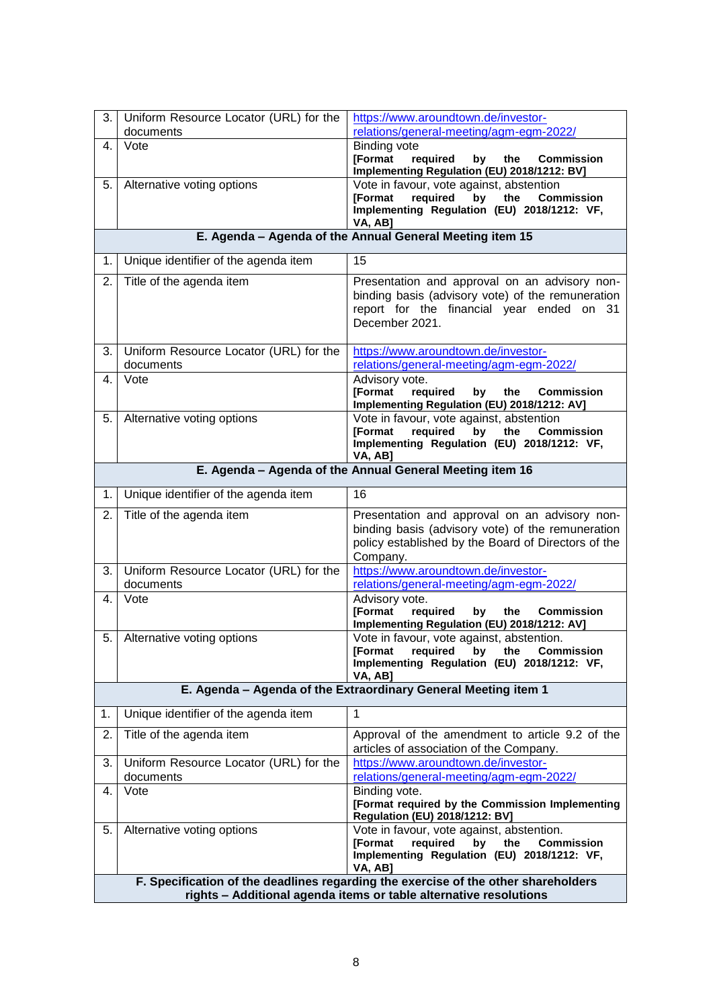| 3.                                                                                                                                                      | Uniform Resource Locator (URL) for the<br>documents      | https://www.aroundtown.de/investor-<br>relations/general-meeting/agm-egm-2022/                                                                                        |  |  |
|---------------------------------------------------------------------------------------------------------------------------------------------------------|----------------------------------------------------------|-----------------------------------------------------------------------------------------------------------------------------------------------------------------------|--|--|
| 4.                                                                                                                                                      | Vote                                                     | <b>Binding vote</b>                                                                                                                                                   |  |  |
|                                                                                                                                                         |                                                          | <b>[Format</b><br>required<br>by<br>the<br><b>Commission</b><br>Implementing Regulation (EU) 2018/1212: BV]                                                           |  |  |
| 5.                                                                                                                                                      | Alternative voting options                               | Vote in favour, vote against, abstention<br>[Format<br>required<br><b>Commission</b><br>bv<br>the<br>Implementing Regulation (EU) 2018/1212: VF,<br>VA, AB]           |  |  |
|                                                                                                                                                         |                                                          | E. Agenda - Agenda of the Annual General Meeting item 15                                                                                                              |  |  |
| 1.                                                                                                                                                      | Unique identifier of the agenda item                     | 15                                                                                                                                                                    |  |  |
| 2.                                                                                                                                                      | Title of the agenda item                                 | Presentation and approval on an advisory non-<br>binding basis (advisory vote) of the remuneration<br>report for the financial year ended on 31<br>December 2021.     |  |  |
| 3.                                                                                                                                                      | Uniform Resource Locator (URL) for the<br>documents      | https://www.aroundtown.de/investor-<br>relations/general-meeting/agm-egm-2022/                                                                                        |  |  |
| 4.                                                                                                                                                      | Vote                                                     | Advisory vote.<br><b>IFormat</b><br>required<br>the<br>by<br><b>Commission</b><br>Implementing Regulation (EU) 2018/1212: AV]                                         |  |  |
| 5.                                                                                                                                                      | Alternative voting options                               | Vote in favour, vote against, abstention<br>required<br>the<br><b>Commission</b><br><b>IFormat</b><br>by<br>Implementing Regulation (EU) 2018/1212: VF,<br>VA, AB]    |  |  |
|                                                                                                                                                         | E. Agenda - Agenda of the Annual General Meeting item 16 |                                                                                                                                                                       |  |  |
| 1.                                                                                                                                                      | Unique identifier of the agenda item                     | 16                                                                                                                                                                    |  |  |
| 2.                                                                                                                                                      | Title of the agenda item                                 | Presentation and approval on an advisory non-<br>binding basis (advisory vote) of the remuneration<br>policy established by the Board of Directors of the<br>Company. |  |  |
| 3.                                                                                                                                                      | Uniform Resource Locator (URL) for the<br>documents      | https://www.aroundtown.de/investor-<br>relations/general-meeting/agm-egm-2022/                                                                                        |  |  |
| 4.                                                                                                                                                      | Vote                                                     | Advisory vote.<br><b>[Format</b><br>required<br>by<br>the<br><b>Commission</b><br>Implementing Regulation (EU) 2018/1212: AV]                                         |  |  |
| 5.                                                                                                                                                      | Alternative voting options                               | Vote in favour, vote against, abstention.<br>required<br>by<br>[Format<br>the<br><b>Commission</b><br>Implementing Regulation (EU) 2018/1212: VF,<br>VA, AB]          |  |  |
|                                                                                                                                                         |                                                          | E. Agenda - Agenda of the Extraordinary General Meeting item 1                                                                                                        |  |  |
| 1.                                                                                                                                                      | Unique identifier of the agenda item                     | 1                                                                                                                                                                     |  |  |
| 2.                                                                                                                                                      | Title of the agenda item                                 | Approval of the amendment to article 9.2 of the<br>articles of association of the Company.                                                                            |  |  |
| 3.                                                                                                                                                      | Uniform Resource Locator (URL) for the<br>documents      | https://www.aroundtown.de/investor-<br>relations/general-meeting/agm-egm-2022/                                                                                        |  |  |
| 4.                                                                                                                                                      | Vote                                                     | Binding vote.<br>[Format required by the Commission Implementing<br><b>Regulation (EU) 2018/1212: BV]</b>                                                             |  |  |
| 5.                                                                                                                                                      | Alternative voting options                               | Vote in favour, vote against, abstention.<br>[Format<br>required<br><b>Commission</b><br>bv<br>the<br>Implementing Regulation (EU) 2018/1212: VF,<br>VA, AB]          |  |  |
| F. Specification of the deadlines regarding the exercise of the other shareholders<br>rights - Additional agenda items or table alternative resolutions |                                                          |                                                                                                                                                                       |  |  |